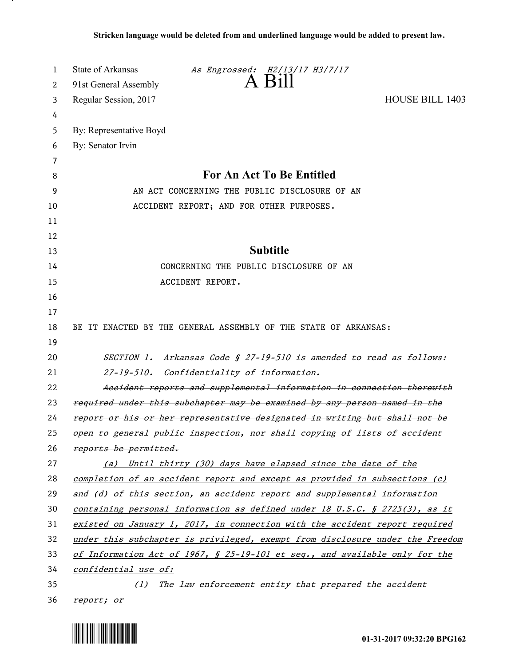| 1  | <b>State of Arkansas</b><br>As Engrossed: H2/13/17 H3/7/17                    |
|----|-------------------------------------------------------------------------------|
| 2  | $A$ $B$ <sub>1</sub> $\parallel$<br>91st General Assembly                     |
| 3  | Regular Session, 2017<br><b>HOUSE BILL 1403</b>                               |
| 4  |                                                                               |
| 5  | By: Representative Boyd                                                       |
| 6  | By: Senator Irvin                                                             |
| 7  |                                                                               |
| 8  | For An Act To Be Entitled                                                     |
| 9  | AN ACT CONCERNING THE PUBLIC DISCLOSURE OF AN                                 |
| 10 | ACCIDENT REPORT; AND FOR OTHER PURPOSES.                                      |
| 11 |                                                                               |
| 12 |                                                                               |
| 13 | <b>Subtitle</b>                                                               |
| 14 | CONCERNING THE PUBLIC DISCLOSURE OF AN                                        |
| 15 | ACCIDENT REPORT.                                                              |
| 16 |                                                                               |
| 17 |                                                                               |
| 18 | BE IT ENACTED BY THE GENERAL ASSEMBLY OF THE STATE OF ARKANSAS:               |
| 19 |                                                                               |
| 20 | SECTION 1. Arkansas Code § 27-19-510 is amended to read as follows:           |
| 21 | $27 - 19 - 510.$<br>Confidentiality of information.                           |
| 22 | Accident reports and supplemental information in connection therewith         |
| 23 | required under this subchapter may be examined by any person named in the     |
| 24 | report or his or her representative designated in writing but shall not be    |
| 25 | open to general public inspection, nor shall copying of lists of accident     |
| 26 | reports be permitted.                                                         |
| 27 | (a) Until thirty (30) days have elapsed since the date of the                 |
| 28 | completion of an accident report and except as provided in subsections (c)    |
| 29 | and (d) of this section, an accident report and supplemental information      |
| 30 | containing personal information as defined under 18 U.S.C. § 2725(3), as it   |
| 31 | existed on January 1, 2017, in connection with the accident report required   |
| 32 | under this subchapter is privileged, exempt from disclosure under the Freedom |
| 33 | of Information Act of 1967, § 25-19-101 et seq., and available only for the   |
| 34 | confidential use of:                                                          |
| 35 | (1) The law enforcement entity that prepared the accident                     |
| 36 | report; or                                                                    |



<u>. на п</u>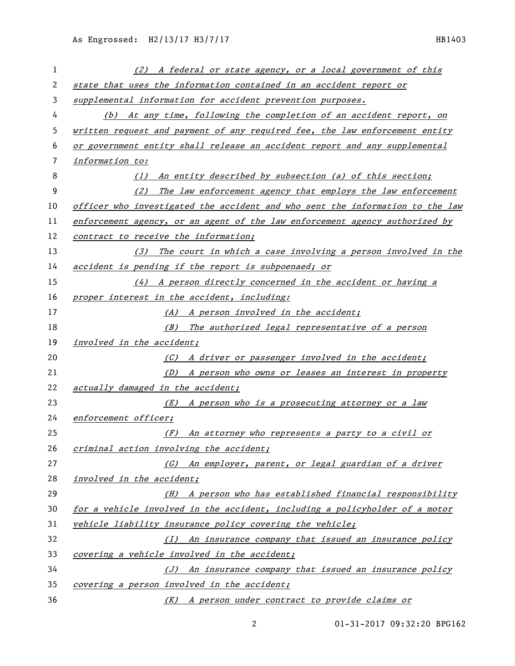| 1  | (2) A federal or state agency, or a local government of this                  |
|----|-------------------------------------------------------------------------------|
| 2  | state that uses the information contained in an accident report or            |
| 3  | supplemental information for accident prevention purposes.                    |
| 4  | (b) At any time, following the completion of an accident report, on           |
| 5  | written request and payment of any required fee, the law enforcement entity   |
| 6  | or government entity shall release an accident report and any supplemental    |
| 7  | information to:                                                               |
| 8  | An entity described by subsection (a) of this section;<br>(1)                 |
| 9  | (2)<br>The law enforcement agency that employs the law enforcement            |
| 10 | officer who investigated the accident and who sent the information to the law |
| 11 | enforcement agency, or an agent of the law enforcement agency authorized by   |
| 12 | contract to receive the information;                                          |
| 13 | (3) The court in which a case involving a person involved in the              |
| 14 | accident is pending if the report is subpoenaed; or                           |
| 15 | (4) A person directly concerned in the accident or having a                   |
| 16 | proper interest in the accident, including:                                   |
| 17 | (A) A person involved in the accident;                                        |
| 18 | (B) The authorized legal representative of a person                           |
| 19 | involved in the accident;                                                     |
| 20 | (C) A driver or passenger involved in the accident;                           |
| 21 | (D) A person who owns or leases an interest in property                       |
| 22 | actually damaged in the accident;                                             |
| 23 | (E) A person who is a prosecuting attorney or a law                           |
| 24 | enforcement officer;                                                          |
| 25 | (F) An attorney who represents a party to a civil or                          |
| 26 | criminal action involving the accident;                                       |
| 27 | (G) An employer, parent, or legal guardian of a driver                        |
| 28 | involved in the accident;                                                     |
| 29 | (H) A person who has established financial responsibility                     |
| 30 | for a vehicle involved in the accident, including a policyholder of a motor   |
| 31 | vehicle liability insurance policy covering the vehicle;                      |
| 32 | (I) An insurance company that issued an insurance policy                      |
| 33 | covering a vehicle involved in the accident;                                  |
| 34 | (J) An insurance company that issued an insurance policy                      |
| 35 | covering a person involved in the accident;                                   |
| 36 | <u>(K)</u> A person under contract to provide claims or                       |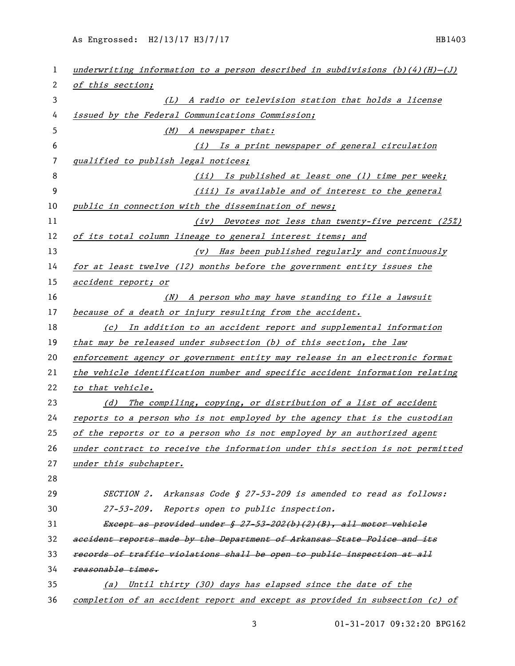| 1  | underwriting information to a person described in subdivisions $(b)(4)(H) - (J)$    |
|----|-------------------------------------------------------------------------------------|
| 2  | of this section;                                                                    |
| 3  | (L) A radio or television station that holds a license                              |
| 4  | issued by the Federal Communications Commission;                                    |
| 5  | (M) A newspaper that:                                                               |
| 6  | Is a print newspaper of general circulation<br>(i)                                  |
| 7  | qualified to publish legal notices;                                                 |
| 8  | (ii) Is published at least one (1) time per week;                                   |
| 9  | (iii) Is available and of interest to the general                                   |
| 10 | public in connection with the dissemination of news;                                |
| 11 | (iv) Devotes not less than twenty-five percent (25%)                                |
| 12 | of its total column lineage to general interest items; and                          |
| 13 | Has been published regularly and continuously<br>(v)                                |
| 14 | for at least twelve (12) months before the government entity issues the             |
| 15 | accident report; or                                                                 |
| 16 | (N) A person who may have standing to file a lawsuit                                |
| 17 | because of a death or injury resulting from the accident.                           |
| 18 | In addition to an accident report and supplemental information<br>$\left( c\right)$ |
| 19 | that may be released under subsection (b) of this section, the law                  |
| 20 | enforcement agency or government entity may release in an electronic format         |
| 21 | the vehicle identification number and specific accident information relating        |
| 22 | to that vehicle.                                                                    |
| 23 | (d) The compiling, copying, or distribution of a list of accident                   |
| 24 | reports to a person who is not employed by the agency that is the custodian         |
| 25 | of the reports or to a person who is not employed by an authorized agent            |
| 26 | under contract to receive the information under this section is not permitted       |
| 27 | under this subchapter.                                                              |
| 28 |                                                                                     |
| 29 | SECTION 2. Arkansas Code § 27-53-209 is amended to read as follows:                 |
| 30 | 27-53-209. Reports open to public inspection.                                       |
| 31 | Except as provided under § 27-53-202(b)(2)(B), all motor vehicle                    |
| 32 | accident reports made by the Department of Arkansas State Police and its            |
| 33 | records of traffic violations shall be open to public inspection at all             |
| 34 | reasonable times.                                                                   |
| 35 | Until thirty (30) days has elapsed since the date of the<br>(a)                     |
| 36 | completion of an accident report and except as provided in subsection (c) of        |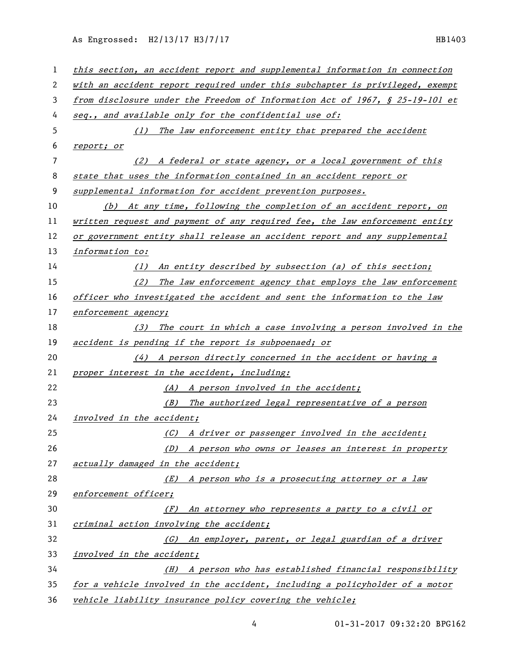As Engrossed: H2/13/17 H3/7/17 HB1403

| 1  | this section, an accident report and supplemental information in connection  |
|----|------------------------------------------------------------------------------|
| 2  | with an accident report required under this subchapter is privileged, exempt |
| 3  | from disclosure under the Freedom of Information Act of 1967, § 25-19-101 et |
| 4  | seq., and available only for the confidential use of:                        |
| 5  | (1) The law enforcement entity that prepared the accident                    |
| 6  | report; or                                                                   |
| 7  | (2) A federal or state agency, or a local government of this                 |
| 8  | state that uses the information contained in an accident report or           |
| 9  | supplemental information for accident prevention purposes.                   |
| 10 | (b) At any time, following the completion of an accident report, on          |
| 11 | written request and payment of any required fee, the law enforcement entity  |
| 12 | or government entity shall release an accident report and any supplemental   |
| 13 | information to:                                                              |
| 14 | (1) An entity described by subsection (a) of this section;                   |
| 15 | (2)<br>The law enforcement agency that employs the law enforcement           |
| 16 | officer who investigated the accident and sent the information to the law    |
| 17 | enforcement agency;                                                          |
| 18 | (3) The court in which a case involving a person involved in the             |
| 19 | accident is pending if the report is subpoenaed; or                          |
| 20 | $(4)$ A person directly concerned in the accident or having a                |
| 21 | proper interest in the accident, including:                                  |
| 22 | (A) A person involved in the accident;                                       |
| 23 | The authorized legal representative of a person<br>(B)                       |
| 24 | involved in the accident;                                                    |
| 25 | (C) A driver or passenger involved in the accident;                          |
| 26 | (D) A person who owns or leases an interest in property                      |
| 27 | actually damaged in the accident;                                            |
| 28 | (E) A person who is a prosecuting attorney or a law                          |
| 29 | enforcement officer;                                                         |
| 30 | An attorney who represents a party to a civil or<br>(F)                      |
| 31 | criminal action involving the accident;                                      |
| 32 | (G) An employer, parent, or legal guardian of a driver                       |
| 33 | involved in the accident;                                                    |
| 34 | (H) A person who has established financial responsibility                    |
| 35 | for a vehicle involved in the accident, including a policyholder of a motor  |
| 36 | vehicle liability insurance policy covering the vehicle;                     |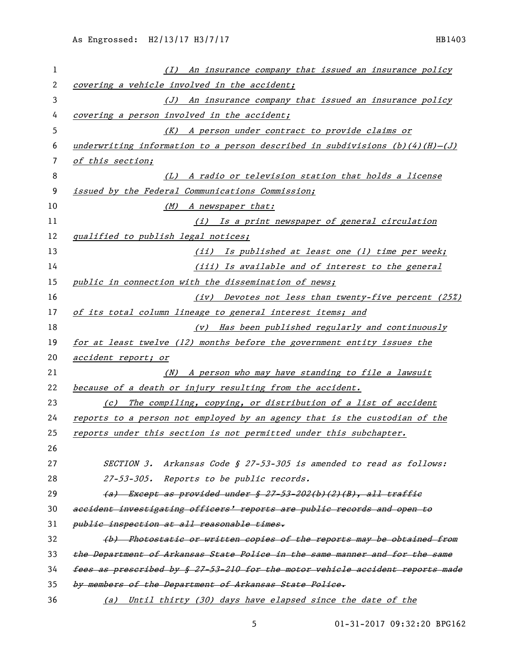| 1              | (I) An insurance company that issued an insurance policy                           |
|----------------|------------------------------------------------------------------------------------|
| $\overline{2}$ | covering a vehicle involved in the accident;                                       |
| 3              | (J) An insurance company that issued an insurance policy                           |
| 4              | covering a person involved in the accident;                                        |
| 5              | (K) A person under contract to provide claims or                                   |
| 6              | underwriting information to a person described in subdivisions $(b)(4)(H)$ - $(J)$ |
| 7              | of this section;                                                                   |
| 8              | (L) A radio or television station that holds a license                             |
| 9              | issued by the Federal Communications Commission;                                   |
| 10             | (M) A newspaper that:                                                              |
| 11             | (i) Is a print newspaper of general circulation                                    |
| 12             | qualified to publish legal notices;                                                |
| 13             | (ii) Is published at least one (1) time per week;                                  |
| 14             | (iii) Is available and of interest to the general                                  |
| 15             | public in connection with the dissemination of news;                               |
| 16             | (iv) Devotes not less than twenty-five percent (25%)                               |
| 17             | of its total column lineage to general interest items; and                         |
| 18             | (v) Has been published regularly and continuously                                  |
| 19             | for at least twelve (12) months before the government entity issues the            |
| 20             | accident report; or                                                                |
| 21             | (N) A person who may have standing to file a lawsuit                               |
| 22             | because of a death or injury resulting from the accident.                          |
| 23             | (c) The compiling, copying, or distribution of a list of accident                  |
| 24             | reports to a person not employed by an agency that is the custodian of the         |
| 25             | reports under this section is not permitted under this subchapter.                 |
| 26             |                                                                                    |
| 27             | SECTION 3. Arkansas Code § 27-53-305 is amended to read as follows:                |
| 28             | 27-53-305. Reports to be public records.                                           |
| 29             | $(a)$ Except as provided under § 27-53-202(b)(2)(B), all traffic                   |
| 30             | accident investigating officers' reports are public records and open to            |
| 31             | public inspection at all reasonable times.                                         |
| 32             | (b) Photostatic or written copies of the reports may be obtained from              |
| 33             | the Department of Arkansas State Police in the same manner and for the same        |
| 34             |                                                                                    |
|                | fees as prescribed by § 27-53-210 for the motor vehicle accident reports made      |
| 35             | by members of the Department of Arkansas State Police.                             |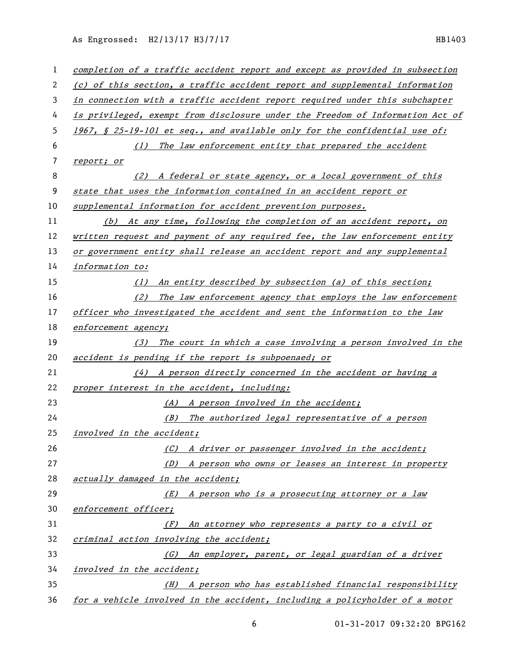As Engrossed: H2/13/17 H3/7/17 HB1403

| $\mathbf{1}$ | completion of a traffic accident report and except as provided in subsection  |
|--------------|-------------------------------------------------------------------------------|
| 2            | (c) of this section, a traffic accident report and supplemental information   |
| 3            | in connection with a traffic accident report required under this subchapter   |
| 4            | is privileged, exempt from disclosure under the Freedom of Information Act of |
| 5            | 1967, § 25-19-101 et seq., and available only for the confidential use of:    |
| 6            | (1) The law enforcement entity that prepared the accident                     |
| 7            | report; or                                                                    |
| 8            | (2) A federal or state agency, or a local government of this                  |
| 9            | state that uses the information contained in an accident report or            |
| 10           | supplemental information for accident prevention purposes.                    |
| 11           | (b) At any time, following the completion of an accident report, on           |
| 12           | written request and payment of any required fee, the law enforcement entity   |
| 13           | or government entity shall release an accident report and any supplemental    |
| 14           | information to:                                                               |
| 15           | (1) An entity described by subsection (a) of this section;                    |
| 16           | (2) The law enforcement agency that employs the law enforcement               |
| 17           | officer who investigated the accident and sent the information to the law     |
| 18           | enforcement agency;                                                           |
| 19           | (3) The court in which a case involving a person involved in the              |
| 20           | accident is pending if the report is subpoenaed; or                           |
| 21           | (4) A person directly concerned in the accident or having a                   |
| 22           | proper interest in the accident, including:                                   |
| 23           | (A) A person involved in the accident;                                        |
| 24           | (B) The authorized legal representative of a person                           |
| 25           | involved in the accident;                                                     |
| 26           | (C) A driver or passenger involved in the accident;                           |
| 27           | (D) A person who owns or leases an interest in property                       |
| 28           | actually damaged in the accident;                                             |
| 29           | <u>(E) A person who is a prosecuting attorney or a law</u>                    |
| 30           | enforcement officer;                                                          |
| 31           | An attorney who represents a party to a civil or<br>(F)                       |
| 32           | criminal action involving the accident;                                       |
| 33           | (G) An employer, parent, or legal guardian of a driver                        |
| 34           | involved in the accident;                                                     |
| 35           | (H) A person who has established financial responsibility                     |
| 36           | for a vehicle involved in the accident, including a policyholder of a motor   |